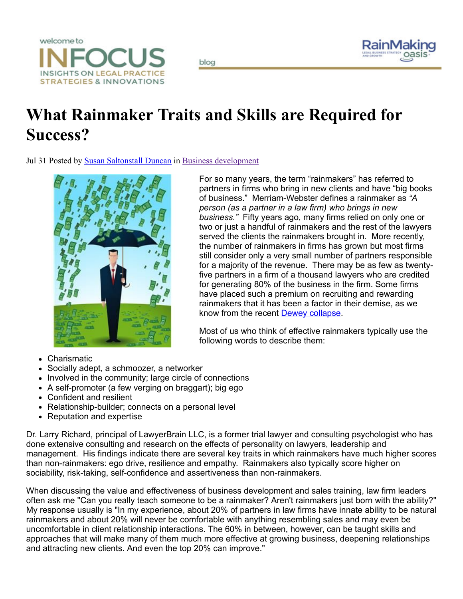



## What Rainmaker Traits and Skills are Required for Success?

blog

Jul 31 Posted by Susan [Saltonstall](http://rainmakingoasis.com/index.php/insights/blog/blogger/listings/sduncan) Duncan in Business [development](http://rainmakingoasis.com/index.php/insights/blog/categories/listings/business-development)



For so many years, the term "rainmakers" has referred to partners in firms who bring in new clients and have "big books of business." Merriam-Webster defines a rainmaker as "A *person (as a partner in a law firm) who brings in new business."* Fifty years ago, many firms relied on only one or two or just a handful of rainmakers and the rest of the lawyers served the clients the rainmakers brought in. More recently, the number of rainmakers in firms has grown but most firms still consider only a very small number of partners responsible for a majority of the revenue. There may be as few as twentyfive partners in a firm of a thousand lawyers who are credited for generating 80% of the business in the firm. Some firms have placed such a premium on recruiting and rewarding rainmakers that it has been a factor in their demise, as we know from the recent Dewey [collapse.](http://www.futureofcapitalism.com/2012/05/times-blames-income-inequality-for-dewey-collapse)

Most of us who think of effective rainmakers typically use the following words to describe them:

- Charismatic
- Socially adept, a schmoozer, a networker
- Involved in the community; large circle of connections
- A self-promoter (a few verging on braggart); big ego
- Confident and resilient
- Relationship-builder; connects on a personal level
- Reputation and expertise

Dr. Larry Richard, principal of LawyerBrain LLC, is a former trial lawyer and consulting psychologist who has done extensive consulting and research on the effects of personality on lawyers, leadership and management. His findings indicate there are several key traits in which rainmakers have much higher scores than non-rainmakers: ego drive, resilience and empathy. Rainmakers also typically score higher on sociability, risk-taking, self-confidence and assertiveness than non-rainmakers.

When discussing the value and effectiveness of business development and sales training, law firm leaders often ask me "Can you really teach someone to be a rainmaker? Aren't rainmakers just born with the ability?" My response usually is "In my experience, about 20% of partners in law firms have innate ability to be natural rainmakers and about 20% will never be comfortable with anything resembling sales and may even be uncomfortable in client relationship interactions. The 60% in between, however, can be taught skills and approaches that will make many of them much more effective at growing business, deepening relationships and attracting new clients. And even the top 20% can improve."